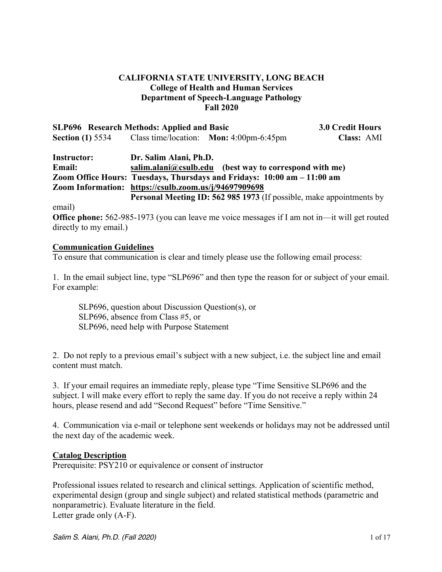## **CALIFORNIA STATE UNIVERSITY, LONG BEACH College of Health and Human Services Department of Speech-Language Pathology Fall 2020**

| <b>SLP696</b> Research Methods: Applied and Basic     |                        |                                                                             | 3.0 Credit Hours |
|-------------------------------------------------------|------------------------|-----------------------------------------------------------------------------|------------------|
| <b>Section (1) 5534</b>                               |                        | Class time/location: Mon: 4:00pm-6:45pm                                     | Class: AMI       |
| <b>Instructor:</b>                                    | Dr. Salim Alani, Ph.D. |                                                                             |                  |
| <b>Email:</b>                                         |                        | $s$ alim.alani@csulb.edu (best way to correspond with me)                   |                  |
|                                                       |                        | Zoom Office Hours: Tuesdays, Thursdays and Fridays: 10:00 am – 11:00 am     |                  |
| Zoom Information: https://csulb.zoom.us/j/94697909698 |                        |                                                                             |                  |
|                                                       |                        | <b>Personal Meeting ID: 562 985 1973</b> (If possible, make appointments by |                  |
|                                                       |                        |                                                                             |                  |

email)

**Office phone:** 562-985-1973 (you can leave me voice messages if I am not in—it will get routed directly to my email.)

#### **Communication Guidelines**

To ensure that communication is clear and timely please use the following email process:

1. In the email subject line, type "SLP696" and then type the reason for or subject of your email. For example:

SLP696, question about Discussion Question(s), or SLP696, absence from Class #5, or SLP696, need help with Purpose Statement

2. Do not reply to a previous email's subject with a new subject, i.e. the subject line and email content must match.

3. If your email requires an immediate reply, please type "Time Sensitive SLP696 and the subject. I will make every effort to reply the same day. If you do not receive a reply within 24 hours, please resend and add "Second Request" before "Time Sensitive."

4. Communication via e-mail or telephone sent weekends or holidays may not be addressed until the next day of the academic week.

## **Catalog Description**

Prerequisite: PSY210 or equivalence or consent of instructor

Professional issues related to research and clinical settings. Application of scientific method, experimental design (group and single subject) and related statistical methods (parametric and nonparametric). Evaluate literature in the field. Letter grade only (A-F).

*Salim S. Alani, Ph.D. (Fall 2020)* 1 of 17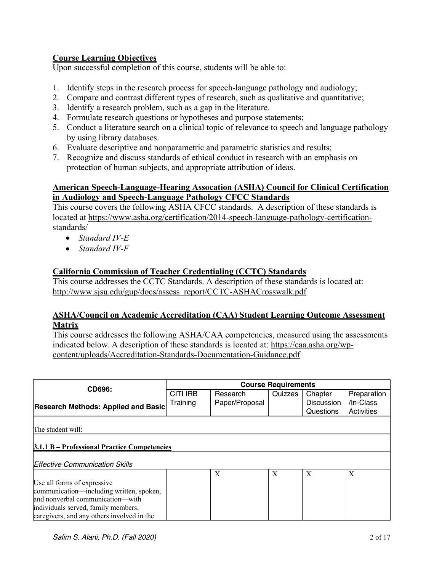## **Course Learning Objectives**

Upon successful completion of this course, students will be able to:

- 1. Identify steps in the research process for speech-language pathology and audiology;
- 2. Compare and contrast different types of research, such as qualitative and quantitative;
- 3. Identify a research problem, such as a gap in the literature.
- 4. Formulate research questions or hypotheses and purpose statements;
- 5. Conduct a literature search on a clinical topic of relevance to speech and language pathology by using library databases.
- 6. Evaluate descriptive and nonparametric and parametric statistics and results;
- 7. Recognize and discuss standards of ethical conduct in research with an emphasis on protection of human subjects, and appropriate attribution of ideas.

## **American Speech-Language-Hearing Assocation (ASHA) Council for Clinical Certification in Audiology and Speech-Language Pathology CFCC Standards**

This course covers the following ASHA CFCC standards. A description of these standards is located at https://www.asha.org/certification/2014-speech-language-pathology-certificationstandards/

- *Standard IV-E*
- *Standard IV-F*

#### **California Commission of Teacher Credentialing (CCTC) Standards**

This course addresses the CCTC Standards. A description of these standards is located at: http://www.sjsu.edu/gup/docs/assess\_report/CCTC-ASHACrosswalk.pdf

#### **ASHA/Council on Academic Accreditation (CAA) Student Learning Outcome Assessment Matrix**

This course addresses the following ASHA/CAA competencies, measured using the assessments indicated below. A description of these standards is located at: https://caa.asha.org/wpcontent/uploads/Accreditation-Standards-Documentation-Guidance.pdf

| CD696:                                       | <b>Course Requirements</b> |                |         |                   |             |  |  |  |  |
|----------------------------------------------|----------------------------|----------------|---------|-------------------|-------------|--|--|--|--|
|                                              | <b>CITI IRB</b>            | Research       | Quizzes | Chapter           | Preparation |  |  |  |  |
| <b>Research Methods: Applied and Basic</b>   | Training                   | Paper/Proposal |         | <b>Discussion</b> | /In-Class   |  |  |  |  |
|                                              |                            |                |         | Questions         | Activities  |  |  |  |  |
|                                              |                            |                |         |                   |             |  |  |  |  |
| The student will:                            |                            |                |         |                   |             |  |  |  |  |
|                                              |                            |                |         |                   |             |  |  |  |  |
| 3.1.1 B – Professional Practice Competencies |                            |                |         |                   |             |  |  |  |  |
|                                              |                            |                |         |                   |             |  |  |  |  |
| <b>Effective Communication Skills</b>        |                            |                |         |                   |             |  |  |  |  |
|                                              |                            | X              | X       | X                 | X           |  |  |  |  |
| Use all forms of expressive                  |                            |                |         |                   |             |  |  |  |  |
| communication—including written, spoken,     |                            |                |         |                   |             |  |  |  |  |
| and nonverbal communication-with             |                            |                |         |                   |             |  |  |  |  |
| individuals served, family members,          |                            |                |         |                   |             |  |  |  |  |
| caregivers, and any others involved in the   |                            |                |         |                   |             |  |  |  |  |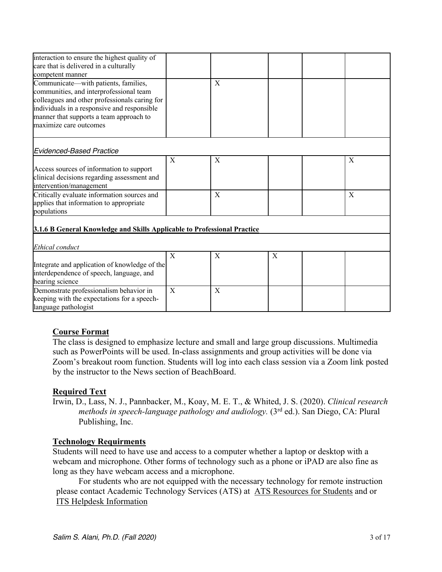| interaction to ensure the highest quality of<br>care that is delivered in a culturally<br>competent manner                                                                                                                                           |   |   |   |   |
|------------------------------------------------------------------------------------------------------------------------------------------------------------------------------------------------------------------------------------------------------|---|---|---|---|
| Communicate—with patients, families,<br>communities, and interprofessional team<br>colleagues and other professionals caring for<br>individuals in a responsive and responsible<br>manner that supports a team approach to<br>maximize care outcomes |   | X |   |   |
| Evidenced-Based Practice                                                                                                                                                                                                                             |   |   |   |   |
| Access sources of information to support<br>clinical decisions regarding assessment and<br>intervention/management                                                                                                                                   | X | X |   | X |
| Critically evaluate information sources and<br>applies that information to appropriate<br>populations                                                                                                                                                |   | X |   | X |
| 3.1.6 B General Knowledge and Skills Applicable to Professional Practice                                                                                                                                                                             |   |   |   |   |
| Ethical conduct                                                                                                                                                                                                                                      |   |   |   |   |
| Integrate and application of knowledge of the<br>interdependence of speech, language, and<br>hearing science                                                                                                                                         | X | X | X |   |
| Demonstrate professionalism behavior in<br>keeping with the expectations for a speech-<br>language pathologist                                                                                                                                       | X | X |   |   |

## **Course Format**

The class is designed to emphasize lecture and small and large group discussions. Multimedia such as PowerPoints will be used. In-class assignments and group activities will be done via Zoom's breakout room function. Students will log into each class session via a Zoom link posted by the instructor to the News section of BeachBoard.

## **Required Text**

Irwin, D., Lass, N. J., Pannbacker, M., Koay, M. E. T., & Whited, J. S. (2020). *Clinical research methods in speech-language pathology and audiology.* (3rd ed.). San Diego, CA: Plural Publishing, Inc.

## **Technology Requirments**

Students will need to have use and access to a computer whether a laptop or desktop with a webcam and microphone. Other forms of technology such as a phone or iPAD are also fine as long as they have webcam access and a microphone.

For students who are not equipped with the necessary technology for remote instruction please contact Academic Technology Services (ATS) at ATS Resources for Students and or ITS Helpdesk Information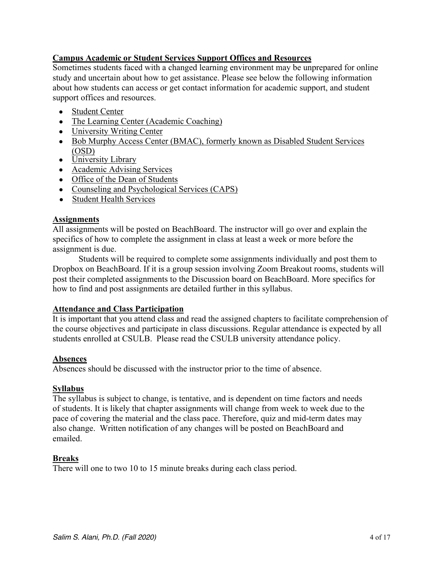## **Campus Academic or Student Services Support Offices and Resources**

Sometimes students faced with a changed learning environment may be unprepared for online study and uncertain about how to get assistance. Please see below the following information about how students can access or get contact information for academic support, and student support offices and resources.

- Student Center
- The Learning Center (Academic Coaching)
- University Writing Center
- Bob Murphy Access Center (BMAC), formerly known as Disabled Student Services (OSD)
- University Library
- Academic Advising Services
- Office of the Dean of Students
- Counseling and Psychological Services (CAPS)
- Student Health Services

#### **Assignments**

All assignments will be posted on BeachBoard. The instructor will go over and explain the specifics of how to complete the assignment in class at least a week or more before the assignment is due.

Students will be required to complete some assignments individually and post them to Dropbox on BeachBoard. If it is a group session involving Zoom Breakout rooms, students will post their completed assignments to the Discussion board on BeachBoard. More specifics for how to find and post assignments are detailed further in this syllabus.

#### **Attendance and Class Participation**

It is important that you attend class and read the assigned chapters to facilitate comprehension of the course objectives and participate in class discussions. Regular attendance is expected by all students enrolled at CSULB. Please read the CSULB university attendance policy.

#### **Absences**

Absences should be discussed with the instructor prior to the time of absence.

#### **Syllabus**

The syllabus is subject to change, is tentative, and is dependent on time factors and needs of students. It is likely that chapter assignments will change from week to week due to the pace of covering the material and the class pace. Therefore, quiz and mid-term dates may also change. Written notification of any changes will be posted on BeachBoard and emailed.

#### **Breaks**

There will one to two 10 to 15 minute breaks during each class period.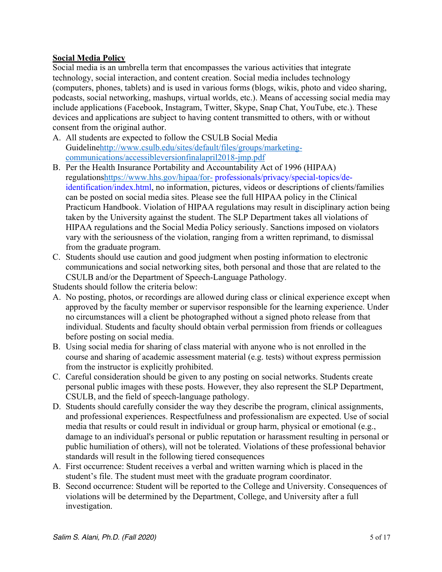## **Social Media Policy**

Social media is an umbrella term that encompasses the various activities that integrate technology, social interaction, and content creation. Social media includes technology (computers, phones, tablets) and is used in various forms (blogs, wikis, photo and video sharing, podcasts, social networking, mashups, virtual worlds, etc.). Means of accessing social media may include applications (Facebook, Instagram, Twitter, Skype, Snap Chat, YouTube, etc.). These devices and applications are subject to having content transmitted to others, with or without consent from the original author.

- A. All students are expected to follow the CSULB Social Media Guidelinehttp://www.csulb.edu/sites/default/files/groups/marketingcommunications/accessibleversionfinalapril2018-jmp.pdf
- B. Per the Health Insurance Portability and Accountability Act of 1996 (HIPAA) regulationshttps://www.hhs.gov/hipaa/for- professionals/privacy/special-topics/deidentification/index.html, no information, pictures, videos or descriptions of clients/families can be posted on social media sites. Please see the full HIPAA policy in the Clinical Practicum Handbook. Violation of HIPAA regulations may result in disciplinary action being taken by the University against the student. The SLP Department takes all violations of HIPAA regulations and the Social Media Policy seriously. Sanctions imposed on violators vary with the seriousness of the violation, ranging from a written reprimand, to dismissal from the graduate program.
- C. Students should use caution and good judgment when posting information to electronic communications and social networking sites, both personal and those that are related to the CSULB and/or the Department of Speech-Language Pathology.

Students should follow the criteria below:

- A. No posting, photos, or recordings are allowed during class or clinical experience except when approved by the faculty member or supervisor responsible for the learning experience. Under no circumstances will a client be photographed without a signed photo release from that individual. Students and faculty should obtain verbal permission from friends or colleagues before posting on social media.
- B. Using social media for sharing of class material with anyone who is not enrolled in the course and sharing of academic assessment material (e.g. tests) without express permission from the instructor is explicitly prohibited.
- C. Careful consideration should be given to any posting on social networks. Students create personal public images with these posts. However, they also represent the SLP Department, CSULB, and the field of speech-language pathology.
- D. Students should carefully consider the way they describe the program, clinical assignments, and professional experiences. Respectfulness and professionalism are expected. Use of social media that results or could result in individual or group harm, physical or emotional (e.g., damage to an individual's personal or public reputation or harassment resulting in personal or public humiliation of others), will not be tolerated. Violations of these professional behavior standards will result in the following tiered consequences
- A. First occurrence: Student receives a verbal and written warning which is placed in the student's file. The student must meet with the graduate program coordinator.
- B. Second occurrence: Student will be reported to the College and University. Consequences of violations will be determined by the Department, College, and University after a full investigation.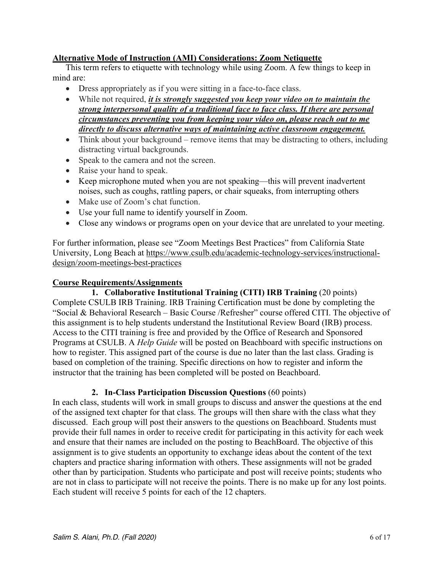## **Alternative Mode of Instruction (AMI) Considerations: Zoom Netiquette**

This term refers to etiquette with technology while using Zoom. A few things to keep in mind are:

- Dress appropriately as if you were sitting in a face-to-face class.
- While not required, *it is strongly suggested you keep your video on to maintain the strong interpersonal quality of a traditional face to face class. If there are personal circumstances preventing you from keeping your video on, please reach out to me directly to discuss alternative ways of maintaining active classroom engagement.*
- Think about your background remove items that may be distracting to others, including distracting virtual backgrounds.
- Speak to the camera and not the screen.
- Raise your hand to speak.
- Keep microphone muted when you are not speaking—this will prevent inadvertent noises, such as coughs, rattling papers, or chair squeaks, from interrupting others
- Make use of Zoom's chat function.
- Use your full name to identify yourself in Zoom.
- Close any windows or programs open on your device that are unrelated to your meeting.

For further information, please see "Zoom Meetings Best Practices" from California State University, Long Beach at https://www.csulb.edu/academic-technology-services/instructionaldesign/zoom-meetings-best-practices

#### **Course Requirements/Assignments**

**1. Collaborative Institutional Training (CITI) IRB Training** (20 points) Complete CSULB IRB Training. IRB Training Certification must be done by completing the "Social & Behavioral Research – Basic Course /Refresher" course offered CITI. The objective of this assignment is to help students understand the Institutional Review Board (IRB) process. Access to the CITI training is free and provided by the Office of Research and Sponsored Programs at CSULB. A *Help Guide* will be posted on Beachboard with specific instructions on how to register. This assigned part of the course is due no later than the last class. Grading is based on completion of the training. Specific directions on how to register and inform the instructor that the training has been completed will be posted on Beachboard.

#### **2. In-Class Participation Discussion Questions** (60 points)

In each class, students will work in small groups to discuss and answer the questions at the end of the assigned text chapter for that class. The groups will then share with the class what they discussed. Each group will post their answers to the questions on Beachboard. Students must provide their full names in order to receive credit for participating in this activity for each week and ensure that their names are included on the posting to BeachBoard. The objective of this assignment is to give students an opportunity to exchange ideas about the content of the text chapters and practice sharing information with others. These assignments will not be graded other than by participation. Students who participate and post will receive points; students who are not in class to participate will not receive the points. There is no make up for any lost points. Each student will receive 5 points for each of the 12 chapters.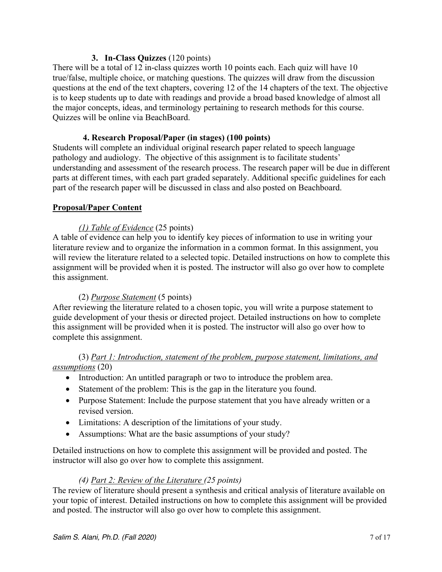## **3. In-Class Quizzes** (120 points)

There will be a total of 12 in-class quizzes worth 10 points each. Each quiz will have 10 true/false, multiple choice, or matching questions. The quizzes will draw from the discussion questions at the end of the text chapters, covering 12 of the 14 chapters of the text. The objective is to keep students up to date with readings and provide a broad based knowledge of almost all the major concepts, ideas, and terminology pertaining to research methods for this course. Quizzes will be online via BeachBoard.

## **4. Research Proposal/Paper (in stages) (100 points)**

Students will complete an individual original research paper related to speech language pathology and audiology. The objective of this assignment is to facilitate students' understanding and assessment of the research process. The research paper will be due in different parts at different times, with each part graded separately. Additional specific guidelines for each part of the research paper will be discussed in class and also posted on Beachboard.

#### **Proposal/Paper Content**

## *(1) Table of Evidence* (25 points)

A table of evidence can help you to identify key pieces of information to use in writing your literature review and to organize the information in a common format. In this assignment, you will review the literature related to a selected topic. Detailed instructions on how to complete this assignment will be provided when it is posted. The instructor will also go over how to complete this assignment.

## (2) *Purpose Statement* (5 points)

After reviewing the literature related to a chosen topic, you will write a purpose statement to guide development of your thesis or directed project. Detailed instructions on how to complete this assignment will be provided when it is posted. The instructor will also go over how to complete this assignment.

## (3) *Part 1: Introduction, statement of the problem, purpose statement, limitations, and assumptions* (20)

- Introduction: An untitled paragraph or two to introduce the problem area.
- Statement of the problem: This is the gap in the literature you found.
- Purpose Statement: Include the purpose statement that you have already written or a revised version.
- Limitations: A description of the limitations of your study.
- Assumptions: What are the basic assumptions of your study?

Detailed instructions on how to complete this assignment will be provided and posted. The instructor will also go over how to complete this assignment.

## *(4) Part 2: Review of the Literature (25 points)*

The review of literature should present a synthesis and critical analysis of literature available on your topic of interest. Detailed instructions on how to complete this assignment will be provided and posted. The instructor will also go over how to complete this assignment.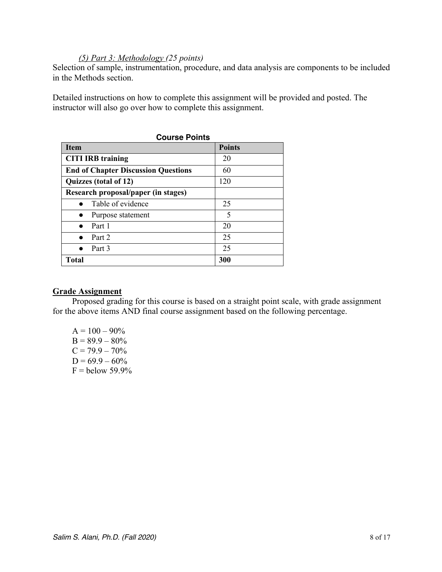#### *(5) Part 3: Methodology (25 points)*

Selection of sample, instrumentation, procedure, and data analysis are components to be included in the Methods section.

Detailed instructions on how to complete this assignment will be provided and posted. The instructor will also go over how to complete this assignment.

| <b>Course Points</b>                       |               |
|--------------------------------------------|---------------|
| <b>Item</b>                                | <b>Points</b> |
| <b>CITI IRB training</b>                   | 20            |
| <b>End of Chapter Discussion Questions</b> | 60            |
| Quizzes (total of 12)                      | 120           |
| Research proposal/paper (in stages)        |               |
| $\bullet$ Table of evidence                | 25            |
| Purpose statement                          | 5             |
| Part 1                                     | 20            |
| Part 2                                     | 25            |
| Part 3                                     | 25            |
| Total                                      | 300           |

#### **Grade Assignment**

Proposed grading for this course is based on a straight point scale, with grade assignment for the above items AND final course assignment based on the following percentage.

 $A = 100 - 90\%$  $B = 89.9 - 80\%$  $C = 79.9 - 70\%$  $D = 69.9 - 60\%$  $F =$  below 59.9%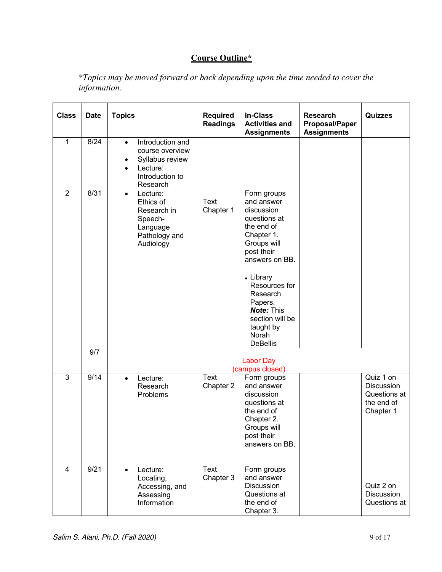# **Course Outline\***

*\*Topics may be moved forward or back depending upon the time needed to cover the information.*

| <b>Class</b>   | <b>Date</b> | <b>Topics</b>                                                                                                                    | <b>Required</b><br><b>Readings</b> | <b>In-Class</b><br><b>Activities and</b><br><b>Assignments</b>                                                                                                                                                                                                           | <b>Research</b><br><b>Proposal/Paper</b><br><b>Assignments</b> | <b>Quizzes</b>                                                            |
|----------------|-------------|----------------------------------------------------------------------------------------------------------------------------------|------------------------------------|--------------------------------------------------------------------------------------------------------------------------------------------------------------------------------------------------------------------------------------------------------------------------|----------------------------------------------------------------|---------------------------------------------------------------------------|
| $\mathbf{1}$   | 8/24        | Introduction and<br>$\bullet$<br>course overview<br>Syllabus review<br>٠<br>Lecture:<br>$\bullet$<br>Introduction to<br>Research |                                    |                                                                                                                                                                                                                                                                          |                                                                |                                                                           |
| $\overline{2}$ | 8/31        | Lecture:<br>$\bullet$<br>Ethics of<br>Research in<br>Speech-<br>Language<br>Pathology and<br>Audiology                           | <b>Text</b><br>Chapter 1           | Form groups<br>and answer<br>discussion<br>questions at<br>the end of<br>Chapter 1.<br>Groups will<br>post their<br>answers on BB.<br>• Library<br>Resources for<br>Research<br>Papers.<br><b>Note: This</b><br>section will be<br>taught by<br>Norah<br><b>DeBellis</b> |                                                                |                                                                           |
|                | 9/7         |                                                                                                                                  |                                    | <b>Labor Day</b><br>(campus closed)                                                                                                                                                                                                                                      |                                                                |                                                                           |
| $\overline{3}$ | 9/14        | Lecture:<br>$\bullet$<br>Research<br>Problems                                                                                    | Text<br>Chapter 2                  | Form groups<br>and answer<br>discussion<br>questions at<br>the end of<br>Chapter 2.<br>Groups will<br>post their<br>answers on BB.                                                                                                                                       |                                                                | Quiz 1 on<br><b>Discussion</b><br>Questions at<br>the end of<br>Chapter 1 |
| 4              | 9/21        | Lecture:<br>$\bullet$<br>Locating,<br>Accessing, and<br>Assessing<br>Information                                                 | Text<br>Chapter 3                  | Form groups<br>and answer<br><b>Discussion</b><br>Questions at<br>the end of<br>Chapter 3.                                                                                                                                                                               |                                                                | Quiz 2 on<br>Discussion<br>Questions at                                   |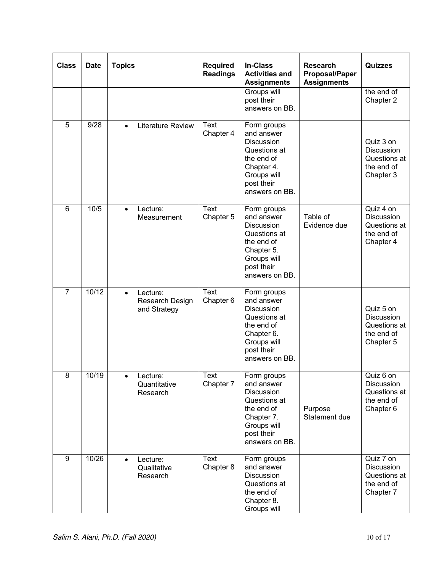| <b>Class</b>   | <b>Date</b> | <b>Topics</b>                                            | <b>Required</b><br><b>Readings</b> | <b>In-Class</b><br><b>Activities and</b><br><b>Assignments</b>                                                                            | <b>Research</b><br><b>Proposal/Paper</b><br><b>Assignments</b> | <b>Quizzes</b>                                                            |
|----------------|-------------|----------------------------------------------------------|------------------------------------|-------------------------------------------------------------------------------------------------------------------------------------------|----------------------------------------------------------------|---------------------------------------------------------------------------|
|                |             |                                                          |                                    | Groups will<br>post their<br>answers on BB.                                                                                               |                                                                | the end of<br>Chapter 2                                                   |
| 5              | 9/28        | Literature Review<br>$\bullet$                           | Text<br>Chapter 4                  | Form groups<br>and answer<br><b>Discussion</b><br>Questions at<br>the end of<br>Chapter 4.<br>Groups will<br>post their<br>answers on BB. |                                                                | Quiz 3 on<br><b>Discussion</b><br>Questions at<br>the end of<br>Chapter 3 |
| $6\phantom{1}$ | 10/5        | Lecture:<br>$\bullet$<br>Measurement                     | Text<br>Chapter 5                  | Form groups<br>and answer<br><b>Discussion</b><br>Questions at<br>the end of<br>Chapter 5.<br>Groups will<br>post their<br>answers on BB. | Table of<br>Evidence due                                       | Quiz 4 on<br><b>Discussion</b><br>Questions at<br>the end of<br>Chapter 4 |
| $\overline{7}$ | 10/12       | Lecture:<br>$\bullet$<br>Research Design<br>and Strategy | Text<br>Chapter 6                  | Form groups<br>and answer<br><b>Discussion</b><br>Questions at<br>the end of<br>Chapter 6.<br>Groups will<br>post their<br>answers on BB. |                                                                | Quiz 5 on<br><b>Discussion</b><br>Questions at<br>the end of<br>Chapter 5 |
| 8              | 10/19       | Lecture:<br>Quantitative<br>Research                     | <b>Text</b><br>Chapter 7           | Form groups<br>and answer<br>Discussion<br>Questions at<br>the end of<br>Chapter 7.<br>Groups will<br>post their<br>answers on BB.        | Purpose<br>Statement due                                       | Quiz 6 on<br><b>Discussion</b><br>Questions at<br>the end of<br>Chapter 6 |
| 9              | 10/26       | Lecture:<br>$\bullet$<br>Qualitative<br>Research         | Text<br>Chapter 8                  | Form groups<br>and answer<br>Discussion<br>Questions at<br>the end of<br>Chapter 8.<br>Groups will                                        |                                                                | Quiz 7 on<br>Discussion<br>Questions at<br>the end of<br>Chapter 7        |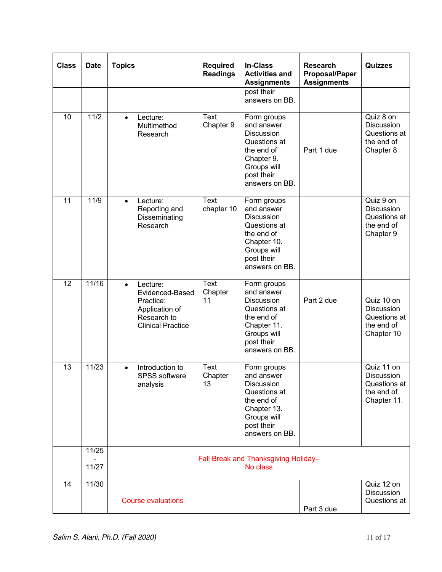| <b>Class</b>    | <b>Date</b>    | <b>Topics</b>                                                                                                      | <b>Required</b><br><b>Readings</b> | <b>In-Class</b><br><b>Activities and</b><br><b>Assignments</b>                                                                             | <b>Research</b><br><b>Proposal/Paper</b><br><b>Assignments</b> | <b>Quizzes</b>                                                        |
|-----------------|----------------|--------------------------------------------------------------------------------------------------------------------|------------------------------------|--------------------------------------------------------------------------------------------------------------------------------------------|----------------------------------------------------------------|-----------------------------------------------------------------------|
|                 |                |                                                                                                                    |                                    | post their<br>answers on BB.                                                                                                               |                                                                |                                                                       |
| 10              | 11/2           | Lecture:<br>$\bullet$<br>Multimethod<br>Research                                                                   | Text<br>Chapter 9                  | Form groups<br>and answer<br><b>Discussion</b><br>Questions at<br>the end of<br>Chapter 9.<br>Groups will<br>post their<br>answers on BB.  | Part 1 due                                                     | Quiz 8 on<br>Discussion<br>Questions at<br>the end of<br>Chapter 8    |
| 11              | 11/9           | Lecture:<br>$\bullet$<br>Reporting and<br>Disseminating<br>Research                                                | <b>Text</b><br>chapter 10          | Form groups<br>and answer<br><b>Discussion</b><br>Questions at<br>the end of<br>Chapter 10.<br>Groups will<br>post their<br>answers on BB. |                                                                | Quiz 9 on<br>Discussion<br>Questions at<br>the end of<br>Chapter 9    |
| $\overline{12}$ | 11/16          | Lecture:<br>$\bullet$<br>Evidenced-Based<br>Practice:<br>Application of<br>Research to<br><b>Clinical Practice</b> | <b>Text</b><br>Chapter<br>11       | Form groups<br>and answer<br><b>Discussion</b><br>Questions at<br>the end of<br>Chapter 11.<br>Groups will<br>post their<br>answers on BB. | Part 2 due                                                     | Quiz 10 on<br>Discussion<br>Questions at<br>the end of<br>Chapter 10  |
| 13              | 11/23          | Introduction to<br>$\bullet$<br>SPSS software<br>analysis                                                          | Text<br>Chapter<br>13              | Form groups<br>and answer<br><b>Discussion</b><br>Questions at<br>the end of<br>Chapter 13.<br>Groups will<br>post their<br>answers on BB. |                                                                | Quiz 11 on<br>Discussion<br>Questions at<br>the end of<br>Chapter 11. |
|                 | 11/25<br>11/27 |                                                                                                                    |                                    | Fall Break and Thanksgiving Holiday-<br>No class                                                                                           |                                                                |                                                                       |
| 14              | 11/30          | <b>Course evaluations</b>                                                                                          |                                    |                                                                                                                                            | Part 3 due                                                     | Quiz 12 on<br>Discussion<br>Questions at                              |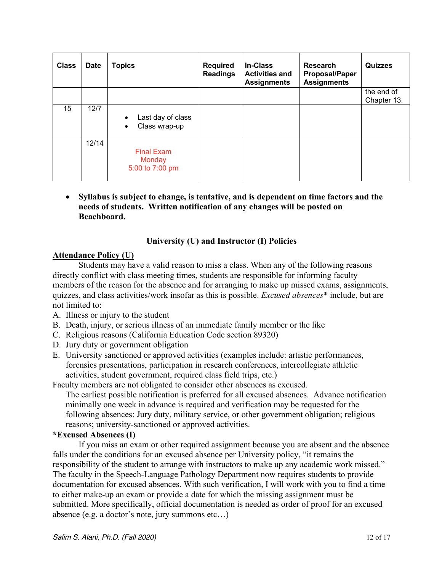| <b>Class</b> | <b>Date</b> | <b>Topics</b>                                                | <b>Required</b><br><b>Readings</b> | <b>In-Class</b><br><b>Activities and</b><br><b>Assignments</b> | <b>Research</b><br><b>Proposal/Paper</b><br><b>Assignments</b> | <b>Quizzes</b>            |
|--------------|-------------|--------------------------------------------------------------|------------------------------------|----------------------------------------------------------------|----------------------------------------------------------------|---------------------------|
|              |             |                                                              |                                    |                                                                |                                                                | the end of<br>Chapter 13. |
| 15           | 12/7        | Last day of class<br>$\bullet$<br>Class wrap-up<br>$\bullet$ |                                    |                                                                |                                                                |                           |
|              | 12/14       | <b>Final Exam</b><br><b>Monday</b><br>5:00 to 7:00 pm        |                                    |                                                                |                                                                |                           |

• **Syllabus is subject to change, is tentative, and is dependent on time factors and the needs of students. Written notification of any changes will be posted on Beachboard.**

## **University (U) and Instructor (I) Policies**

#### **Attendance Policy (U)**

Students may have a valid reason to miss a class. When any of the following reasons directly conflict with class meeting times, students are responsible for informing faculty members of the reason for the absence and for arranging to make up missed exams, assignments, quizzes, and class activities/work insofar as this is possible. *Excused absences*\* include, but are not limited to:

- A. Illness or injury to the student
- B. Death, injury, or serious illness of an immediate family member or the like
- C. Religious reasons (California Education Code section 89320)
- D. Jury duty or government obligation
- E. University sanctioned or approved activities (examples include: artistic performances, forensics presentations, participation in research conferences, intercollegiate athletic activities, student government, required class field trips, etc.)

Faculty members are not obligated to consider other absences as excused.

The earliest possible notification is preferred for all excused absences. Advance notification minimally one week in advance is required and verification may be requested for the following absences: Jury duty, military service, or other government obligation; religious reasons; university-sanctioned or approved activities.

#### **\*Excused Absences (I)**

If you miss an exam or other required assignment because you are absent and the absence falls under the conditions for an excused absence per University policy, "it remains the responsibility of the student to arrange with instructors to make up any academic work missed." The faculty in the Speech-Language Pathology Department now requires students to provide documentation for excused absences. With such verification, I will work with you to find a time to either make-up an exam or provide a date for which the missing assignment must be submitted. More specifically, official documentation is needed as order of proof for an excused absence (e.g. a doctor's note, jury summons etc…)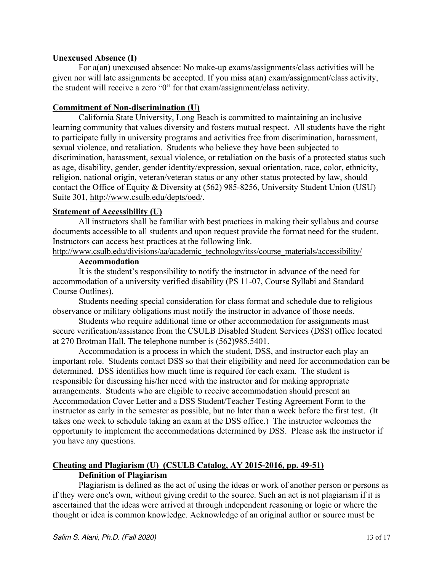#### **Unexcused Absence (I)**

For a(an) unexcused absence: No make-up exams/assignments/class activities will be given nor will late assignments be accepted. If you miss a(an) exam/assignment/class activity, the student will receive a zero "0" for that exam/assignment/class activity.

#### **Commitment of Non-discrimination (U)**

California State University, Long Beach is committed to maintaining an inclusive learning community that values diversity and fosters mutual respect. All students have the right to participate fully in university programs and activities free from discrimination, harassment, sexual violence, and retaliation. Students who believe they have been subjected to discrimination, harassment, sexual violence, or retaliation on the basis of a protected status such as age, disability, gender, gender identity/expression, sexual orientation, race, color, ethnicity, religion, national origin, veteran/veteran status or any other status protected by law, should contact the Office of Equity & Diversity at (562) 985-8256, University Student Union (USU) Suite 301, http://www.csulb.edu/depts/oed/.

#### **Statement of Accessibility (U)**

All instructors shall be familiar with best practices in making their syllabus and course documents accessible to all students and upon request provide the format need for the student. Instructors can access best practices at the following link.

http://www.csulb.edu/divisions/aa/academic\_technology/itss/course\_materials/accessibility/

#### **Accommodation**

It is the student's responsibility to notify the instructor in advance of the need for accommodation of a university verified disability (PS 11-07, Course Syllabi and Standard Course Outlines).

Students needing special consideration for class format and schedule due to religious observance or military obligations must notify the instructor in advance of those needs.

Students who require additional time or other accommodation for assignments must secure verification/assistance from the CSULB Disabled Student Services (DSS) office located at 270 Brotman Hall. The telephone number is (562)985.5401.

Accommodation is a process in which the student, DSS, and instructor each play an important role. Students contact DSS so that their eligibility and need for accommodation can be determined. DSS identifies how much time is required for each exam. The student is responsible for discussing his/her need with the instructor and for making appropriate arrangements. Students who are eligible to receive accommodation should present an Accommodation Cover Letter and a DSS Student/Teacher Testing Agreement Form to the instructor as early in the semester as possible, but no later than a week before the first test. (It takes one week to schedule taking an exam at the DSS office.) The instructor welcomes the opportunity to implement the accommodations determined by DSS. Please ask the instructor if you have any questions.

# **Cheating and Plagiarism (U) (CSULB Catalog, AY 2015-2016, pp. 49-51)**

## **Definition of Plagiarism**

Plagiarism is defined as the act of using the ideas or work of another person or persons as if they were one's own, without giving credit to the source. Such an act is not plagiarism if it is ascertained that the ideas were arrived at through independent reasoning or logic or where the thought or idea is common knowledge. Acknowledge of an original author or source must be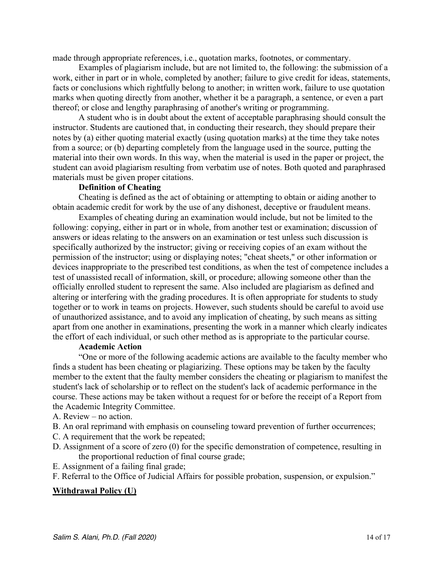made through appropriate references, i.e., quotation marks, footnotes, or commentary.

Examples of plagiarism include, but are not limited to, the following: the submission of a work, either in part or in whole, completed by another; failure to give credit for ideas, statements, facts or conclusions which rightfully belong to another; in written work, failure to use quotation marks when quoting directly from another, whether it be a paragraph, a sentence, or even a part thereof; or close and lengthy paraphrasing of another's writing or programming.

A student who is in doubt about the extent of acceptable paraphrasing should consult the instructor. Students are cautioned that, in conducting their research, they should prepare their notes by (a) either quoting material exactly (using quotation marks) at the time they take notes from a source; or (b) departing completely from the language used in the source, putting the material into their own words. In this way, when the material is used in the paper or project, the student can avoid plagiarism resulting from verbatim use of notes. Both quoted and paraphrased materials must be given proper citations.

#### **Definition of Cheating**

Cheating is defined as the act of obtaining or attempting to obtain or aiding another to obtain academic credit for work by the use of any dishonest, deceptive or fraudulent means.

Examples of cheating during an examination would include, but not be limited to the following: copying, either in part or in whole, from another test or examination; discussion of answers or ideas relating to the answers on an examination or test unless such discussion is specifically authorized by the instructor; giving or receiving copies of an exam without the permission of the instructor; using or displaying notes; "cheat sheets," or other information or devices inappropriate to the prescribed test conditions, as when the test of competence includes a test of unassisted recall of information, skill, or procedure; allowing someone other than the officially enrolled student to represent the same. Also included are plagiarism as defined and altering or interfering with the grading procedures. It is often appropriate for students to study together or to work in teams on projects. However, such students should be careful to avoid use of unauthorized assistance, and to avoid any implication of cheating, by such means as sitting apart from one another in examinations, presenting the work in a manner which clearly indicates the effort of each individual, or such other method as is appropriate to the particular course.

#### **Academic Action**

"One or more of the following academic actions are available to the faculty member who finds a student has been cheating or plagiarizing. These options may be taken by the faculty member to the extent that the faulty member considers the cheating or plagiarism to manifest the student's lack of scholarship or to reflect on the student's lack of academic performance in the course. These actions may be taken without a request for or before the receipt of a Report from the Academic Integrity Committee.

- A. Review no action.
- B. An oral reprimand with emphasis on counseling toward prevention of further occurrences;
- C. A requirement that the work be repeated;
- D. Assignment of a score of zero (0) for the specific demonstration of competence, resulting in the proportional reduction of final course grade;
- E. Assignment of a failing final grade;
- F. Referral to the Office of Judicial Affairs for possible probation, suspension, or expulsion."

#### **Withdrawal Policy (U)**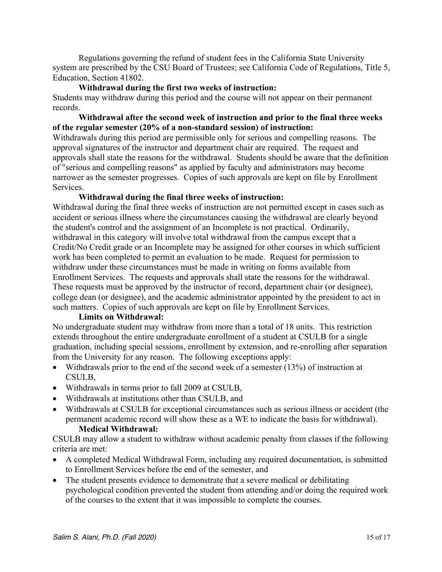Regulations governing the refund of student fees in the California State University system are prescribed by the CSU Board of Trustees; see California Code of Regulations, Title 5, Education, Section 41802.

## **Withdrawal during the first two weeks of instruction:**

Students may withdraw during this period and the course will not appear on their permanent records.

#### **Withdrawal after the second week of instruction and prior to the final three weeks of the regular semester (20% of a non-standard session) of instruction:**

Withdrawals during this period are permissible only for serious and compelling reasons. The approval signatures of the instructor and department chair are required. The request and approvals shall state the reasons for the withdrawal. Students should be aware that the definition of "serious and compelling reasons" as applied by faculty and administrators may become narrower as the semester progresses. Copies of such approvals are kept on file by Enrollment Services.

#### **Withdrawal during the final three weeks of instruction:**

Withdrawal during the final three weeks of instruction are not permitted except in cases such as accident or serious illness where the circumstances causing the withdrawal are clearly beyond the student's control and the assignment of an Incomplete is not practical. Ordinarily, withdrawal in this category will involve total withdrawal from the campus except that a Credit/No Credit grade or an Incomplete may be assigned for other courses in which sufficient work has been completed to permit an evaluation to be made. Request for permission to withdraw under these circumstances must be made in writing on forms available from Enrollment Services. The requests and approvals shall state the reasons for the withdrawal. These requests must be approved by the instructor of record, department chair (or designee), college dean (or designee), and the academic administrator appointed by the president to act in such matters. Copies of such approvals are kept on file by Enrollment Services.

#### **Limits on Withdrawal:**

No undergraduate student may withdraw from more than a total of 18 units. This restriction extends throughout the entire undergraduate enrollment of a student at CSULB for a single graduation, including special sessions, enrollment by extension, and re-enrolling after separation from the University for any reason. The following exceptions apply:

- Withdrawals prior to the end of the second week of a semester (13%) of instruction at CSULB,
- Withdrawals in terms prior to fall 2009 at CSULB,
- Withdrawals at institutions other than CSULB, and
- Withdrawals at CSULB for exceptional circumstances such as serious illness or accident (the permanent academic record will show these as a WE to indicate the basis for withdrawal). **Medical Withdrawal:**

CSULB may allow a student to withdraw without academic penalty from classes if the following criteria are met:

- A completed Medical Withdrawal Form, including any required documentation, is submitted to Enrollment Services before the end of the semester, and
- The student presents evidence to demonstrate that a severe medical or debilitating psychological condition prevented the student from attending and/or doing the required work of the courses to the extent that it was impossible to complete the courses.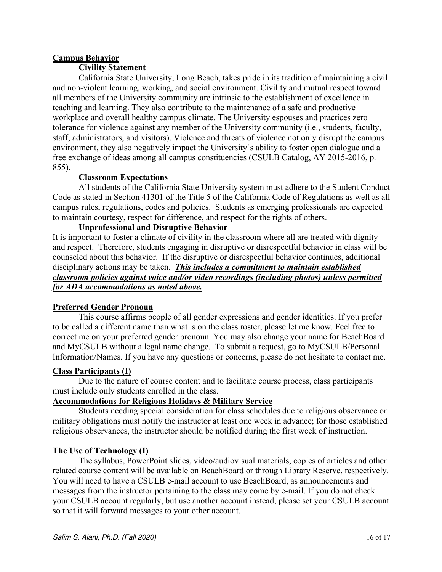## **Campus Behavior**

#### **Civility Statement**

California State University, Long Beach, takes pride in its tradition of maintaining a civil and non-violent learning, working, and social environment. Civility and mutual respect toward all members of the University community are intrinsic to the establishment of excellence in teaching and learning. They also contribute to the maintenance of a safe and productive workplace and overall healthy campus climate. The University espouses and practices zero tolerance for violence against any member of the University community (i.e., students, faculty, staff, administrators, and visitors). Violence and threats of violence not only disrupt the campus environment, they also negatively impact the University's ability to foster open dialogue and a free exchange of ideas among all campus constituencies (CSULB Catalog, AY 2015-2016, p. 855).

#### **Classroom Expectations**

All students of the California State University system must adhere to the Student Conduct Code as stated in Section 41301 of the Title 5 of the California Code of Regulations as well as all campus rules, regulations, codes and policies. Students as emerging professionals are expected to maintain courtesy, respect for difference, and respect for the rights of others.

#### **Unprofessional and Disruptive Behavior**

It is important to foster a climate of civility in the classroom where all are treated with dignity and respect. Therefore, students engaging in disruptive or disrespectful behavior in class will be counseled about this behavior. If the disruptive or disrespectful behavior continues, additional disciplinary actions may be taken. *This includes a commitment to maintain established classroom policies against voice and/or video recordings (including photos) unless permitted for ADA accommodations as noted above.*

## **Preferred Gender Pronoun**

This course affirms people of all gender expressions and gender identities. If you prefer to be called a different name than what is on the class roster, please let me know. Feel free to correct me on your preferred gender pronoun. You may also change your name for BeachBoard and MyCSULB without a legal name change. To submit a request, go to MyCSULB/Personal Information/Names. If you have any questions or concerns, please do not hesitate to contact me.

#### **Class Participants (I)**

Due to the nature of course content and to facilitate course process, class participants must include only students enrolled in the class.

## **Accommodations for Religious Holidays & Military Service**

Students needing special consideration for class schedules due to religious observance or military obligations must notify the instructor at least one week in advance; for those established religious observances, the instructor should be notified during the first week of instruction.

## **The Use of Technology (I)**

The syllabus, PowerPoint slides, video/audiovisual materials, copies of articles and other related course content will be available on BeachBoard or through Library Reserve, respectively. You will need to have a CSULB e-mail account to use BeachBoard, as announcements and messages from the instructor pertaining to the class may come by e-mail. If you do not check your CSULB account regularly, but use another account instead, please set your CSULB account so that it will forward messages to your other account.